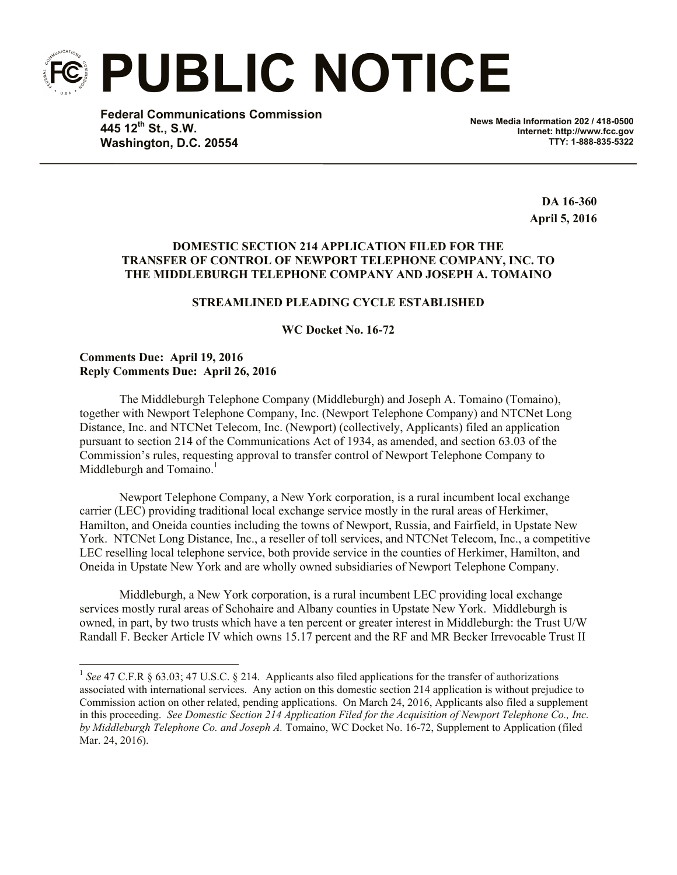**PUBLIC NOTICE**

**Federal Communications Commission 445 12th St., S.W. Washington, D.C. 20554**

**News Media Information 202 / 418-0500 Internet: http://www.fcc.gov TTY: 1-888-835-5322**

> **DA 16-360 April 5, 2016**

# **DOMESTIC SECTION 214 APPLICATION FILED FOR THE TRANSFER OF CONTROL OF NEWPORT TELEPHONE COMPANY, INC. TO THE MIDDLEBURGH TELEPHONE COMPANY AND JOSEPH A. TOMAINO**

### **STREAMLINED PLEADING CYCLE ESTABLISHED**

**WC Docket No. 16-72**

## **Comments Due: April 19, 2016 Reply Comments Due: April 26, 2016**

l

The Middleburgh Telephone Company (Middleburgh) and Joseph A. Tomaino (Tomaino), together with Newport Telephone Company, Inc. (Newport Telephone Company) and NTCNet Long Distance, Inc. and NTCNet Telecom, Inc. (Newport) (collectively, Applicants) filed an application pursuant to section 214 of the Communications Act of 1934, as amended, and section 63.03 of the Commission's rules, requesting approval to transfer control of Newport Telephone Company to Middleburgh and Tomaino.<sup>1</sup>

Newport Telephone Company, a New York corporation, is a rural incumbent local exchange carrier (LEC) providing traditional local exchange service mostly in the rural areas of Herkimer, Hamilton, and Oneida counties including the towns of Newport, Russia, and Fairfield, in Upstate New York. NTCNet Long Distance, Inc., a reseller of toll services, and NTCNet Telecom, Inc., a competitive LEC reselling local telephone service, both provide service in the counties of Herkimer, Hamilton, and Oneida in Upstate New York and are wholly owned subsidiaries of Newport Telephone Company.

Middleburgh, a New York corporation, is a rural incumbent LEC providing local exchange services mostly rural areas of Schohaire and Albany counties in Upstate New York. Middleburgh is owned, in part, by two trusts which have a ten percent or greater interest in Middleburgh: the Trust U/W Randall F. Becker Article IV which owns 15.17 percent and the RF and MR Becker Irrevocable Trust II

<sup>&</sup>lt;sup>1</sup> See 47 C.F.R § 63.03; 47 U.S.C. § 214. Applicants also filed applications for the transfer of authorizations associated with international services. Any action on this domestic section 214 application is without prejudice to Commission action on other related, pending applications. On March 24, 2016, Applicants also filed a supplement in this proceeding. *See Domestic Section 214 Application Filed for the Acquisition of Newport Telephone Co., Inc. by Middleburgh Telephone Co. and Joseph A.* Tomaino, WC Docket No. 16-72, Supplement to Application (filed Mar. 24, 2016).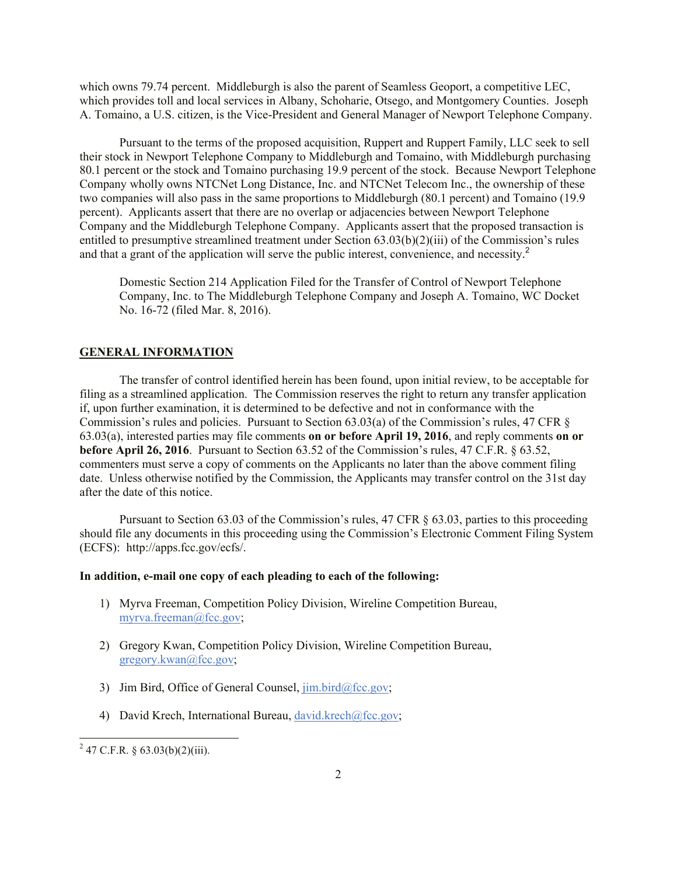which owns 79.74 percent. Middleburgh is also the parent of Seamless Geoport, a competitive LEC, which provides toll and local services in Albany, Schoharie, Otsego, and Montgomery Counties. Joseph A. Tomaino, a U.S. citizen, is the Vice-President and General Manager of Newport Telephone Company.

Pursuant to the terms of the proposed acquisition, Ruppert and Ruppert Family, LLC seek to sell their stock in Newport Telephone Company to Middleburgh and Tomaino, with Middleburgh purchasing 80.1 percent or the stock and Tomaino purchasing 19.9 percent of the stock. Because Newport Telephone Company wholly owns NTCNet Long Distance, Inc. and NTCNet Telecom Inc., the ownership of these two companies will also pass in the same proportions to Middleburgh (80.1 percent) and Tomaino (19.9 percent). Applicants assert that there are no overlap or adjacencies between Newport Telephone Company and the Middleburgh Telephone Company. Applicants assert that the proposed transaction is entitled to presumptive streamlined treatment under Section 63.03(b)(2)(iii) of the Commission's rules and that a grant of the application will serve the public interest, convenience, and necessity.<sup>2</sup>

Domestic Section 214 Application Filed for the Transfer of Control of Newport Telephone Company, Inc. to The Middleburgh Telephone Company and Joseph A. Tomaino, WC Docket No. 16-72 (filed Mar. 8, 2016).

#### **GENERAL INFORMATION**

The transfer of control identified herein has been found, upon initial review, to be acceptable for filing as a streamlined application. The Commission reserves the right to return any transfer application if, upon further examination, it is determined to be defective and not in conformance with the Commission's rules and policies. Pursuant to Section 63.03(a) of the Commission's rules, 47 CFR § 63.03(a), interested parties may file comments **on or before April 19, 2016**, and reply comments **on or before April 26, 2016**. Pursuant to Section 63.52 of the Commission's rules, 47 C.F.R. § 63.52, commenters must serve a copy of comments on the Applicants no later than the above comment filing date. Unless otherwise notified by the Commission, the Applicants may transfer control on the 31st day after the date of this notice.

Pursuant to Section 63.03 of the Commission's rules, 47 CFR § 63.03, parties to this proceeding should file any documents in this proceeding using the Commission's Electronic Comment Filing System (ECFS): http://apps.fcc.gov/ecfs/.

#### **In addition, e-mail one copy of each pleading to each of the following:**

- 1) Myrva Freeman, Competition Policy Division, Wireline Competition Bureau, myrva.freeman@fcc.gov;
- 2) Gregory Kwan, Competition Policy Division, Wireline Competition Bureau, gregory.kwan@fcc.gov;
- 3) Jim Bird, Office of General Counsel,  $\lim_{\alpha \to 0}$  bird $(\partial_{\alpha}$ fcc.gov;
- 4) David Krech, International Bureau, david.krech@fcc.gov;

l

 $^{2}$  47 C.F.R. § 63.03(b)(2)(iii).